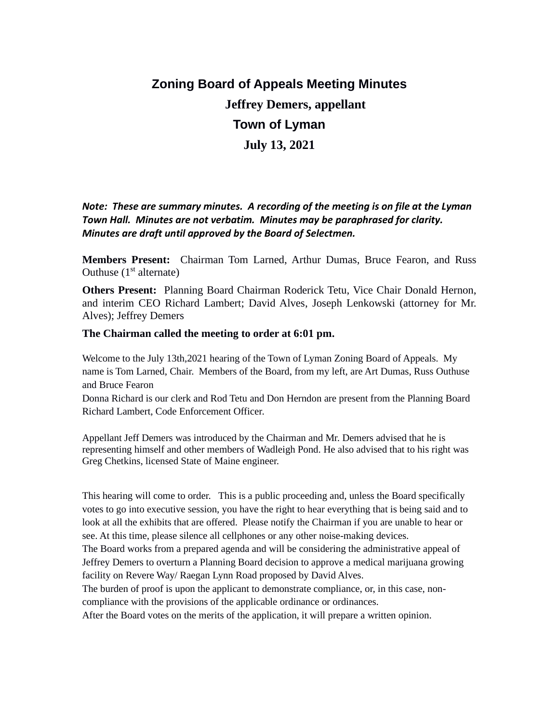# **Zoning Board of Appeals Meeting Minutes Jeffrey Demers, appellant Town of Lyman July 13, 2021**

*Note: These are summary minutes. A recording of the meeting is on file at the Lyman Town Hall. Minutes are not verbatim. Minutes may be paraphrased for clarity. Minutes are draft until approved by the Board of Selectmen.*

**Members Present:** Chairman Tom Larned, Arthur Dumas, Bruce Fearon, and Russ Outhuse  $(1<sup>st</sup>$  alternate)

**Others Present:** Planning Board Chairman Roderick Tetu, Vice Chair Donald Hernon, and interim CEO Richard Lambert; David Alves, Joseph Lenkowski (attorney for Mr. Alves); Jeffrey Demers

# **The Chairman called the meeting to order at 6:01 pm.**

Welcome to the July 13th,2021 hearing of the Town of Lyman Zoning Board of Appeals. My name is Tom Larned, Chair. Members of the Board, from my left, are Art Dumas, Russ Outhuse and Bruce Fearon

Donna Richard is our clerk and Rod Tetu and Don Herndon are present from the Planning Board Richard Lambert, Code Enforcement Officer.

Appellant Jeff Demers was introduced by the Chairman and Mr. Demers advised that he is representing himself and other members of Wadleigh Pond. He also advised that to his right was Greg Chetkins, licensed State of Maine engineer.

This hearing will come to order. This is a public proceeding and, unless the Board specifically votes to go into executive session, you have the right to hear everything that is being said and to look at all the exhibits that are offered. Please notify the Chairman if you are unable to hear or see. At this time, please silence all cellphones or any other noise-making devices.

The Board works from a prepared agenda and will be considering the administrative appeal of Jeffrey Demers to overturn a Planning Board decision to approve a medical marijuana growing facility on Revere Way/ Raegan Lynn Road proposed by David Alves.

The burden of proof is upon the applicant to demonstrate compliance, or, in this case, noncompliance with the provisions of the applicable ordinance or ordinances.

After the Board votes on the merits of the application, it will prepare a written opinion.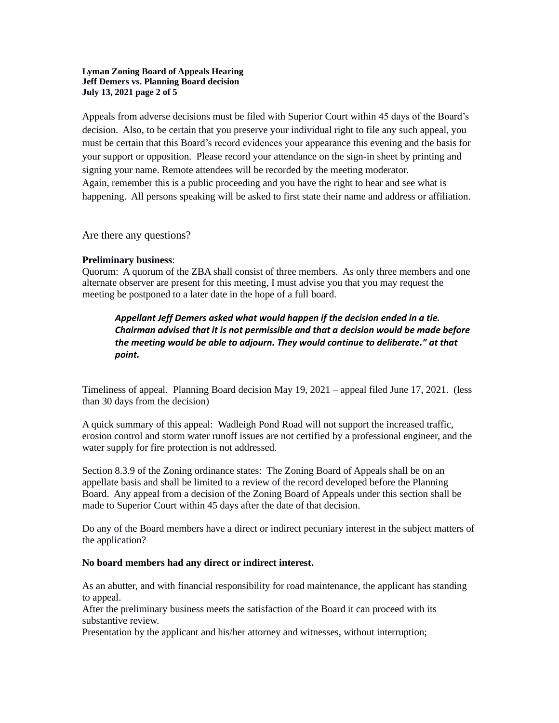## **Lyman Zoning Board of Appeals Hearing Jeff Demers vs. Planning Board decision July 13, 2021 page 2 of 5**

Appeals from adverse decisions must be filed with Superior Court within 45 days of the Board's decision. Also, to be certain that you preserve your individual right to file any such appeal, you must be certain that this Board's record evidences your appearance this evening and the basis for your support or opposition. Please record your attendance on the sign-in sheet by printing and signing your name. Remote attendees will be recorded by the meeting moderator. Again, remember this is a public proceeding and you have the right to hear and see what is happening. All persons speaking will be asked to first state their name and address or affiliation.

Are there any questions?

## **Preliminary business**:

Quorum: A quorum of the ZBA shall consist of three members. As only three members and one alternate observer are present for this meeting, I must advise you that you may request the meeting be postponed to a later date in the hope of a full board.

*Appellant Jeff Demers asked what would happen if the decision ended in a tie. Chairman advised that it is not permissible and that a decision would be made before the meeting would be able to adjourn. They would continue to deliberate." at that point.*

Timeliness of appeal. Planning Board decision May 19, 2021 – appeal filed June 17, 2021. (less than 30 days from the decision)

A quick summary of this appeal: Wadleigh Pond Road will not support the increased traffic, erosion control and storm water runoff issues are not certified by a professional engineer, and the water supply for fire protection is not addressed.

Section 8.3.9 of the Zoning ordinance states: The Zoning Board of Appeals shall be on an appellate basis and shall be limited to a review of the record developed before the Planning Board. Any appeal from a decision of the Zoning Board of Appeals under this section shall be made to Superior Court within 45 days after the date of that decision.

Do any of the Board members have a direct or indirect pecuniary interest in the subject matters of the application?

## **No board members had any direct or indirect interest.**

As an abutter, and with financial responsibility for road maintenance, the applicant has standing to appeal.

After the preliminary business meets the satisfaction of the Board it can proceed with its substantive review.

Presentation by the applicant and his/her attorney and witnesses, without interruption;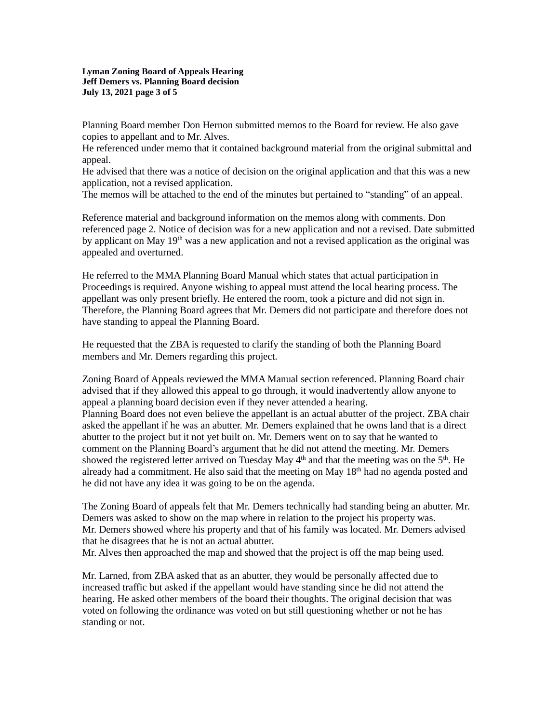**Lyman Zoning Board of Appeals Hearing Jeff Demers vs. Planning Board decision July 13, 2021 page 3 of 5**

Planning Board member Don Hernon submitted memos to the Board for review. He also gave copies to appellant and to Mr. Alves.

He referenced under memo that it contained background material from the original submittal and appeal.

He advised that there was a notice of decision on the original application and that this was a new application, not a revised application.

The memos will be attached to the end of the minutes but pertained to "standing" of an appeal.

Reference material and background information on the memos along with comments. Don referenced page 2. Notice of decision was for a new application and not a revised. Date submitted by applicant on May 19<sup>th</sup> was a new application and not a revised application as the original was appealed and overturned.

He referred to the MMA Planning Board Manual which states that actual participation in Proceedings is required. Anyone wishing to appeal must attend the local hearing process. The appellant was only present briefly. He entered the room, took a picture and did not sign in. Therefore, the Planning Board agrees that Mr. Demers did not participate and therefore does not have standing to appeal the Planning Board.

He requested that the ZBA is requested to clarify the standing of both the Planning Board members and Mr. Demers regarding this project.

Zoning Board of Appeals reviewed the MMA Manual section referenced. Planning Board chair advised that if they allowed this appeal to go through, it would inadvertently allow anyone to appeal a planning board decision even if they never attended a hearing. Planning Board does not even believe the appellant is an actual abutter of the project. ZBA chair asked the appellant if he was an abutter. Mr. Demers explained that he owns land that is a direct abutter to the project but it not yet built on. Mr. Demers went on to say that he wanted to comment on the Planning Board's argument that he did not attend the meeting. Mr. Demers showed the registered letter arrived on Tuesday May  $4<sup>th</sup>$  and that the meeting was on the  $5<sup>th</sup>$ . He already had a commitment. He also said that the meeting on May  $18<sup>th</sup>$  had no agenda posted and he did not have any idea it was going to be on the agenda.

The Zoning Board of appeals felt that Mr. Demers technically had standing being an abutter. Mr. Demers was asked to show on the map where in relation to the project his property was. Mr. Demers showed where his property and that of his family was located. Mr. Demers advised that he disagrees that he is not an actual abutter.

Mr. Alves then approached the map and showed that the project is off the map being used.

Mr. Larned, from ZBA asked that as an abutter, they would be personally affected due to increased traffic but asked if the appellant would have standing since he did not attend the hearing. He asked other members of the board their thoughts. The original decision that was voted on following the ordinance was voted on but still questioning whether or not he has standing or not.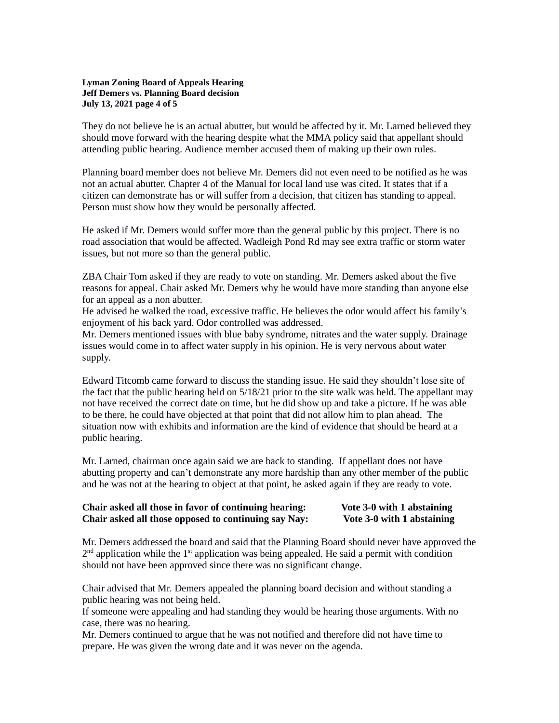## **Lyman Zoning Board of Appeals Hearing Jeff Demers vs. Planning Board decision July 13, 2021 page 4 of 5**

They do not believe he is an actual abutter, but would be affected by it. Mr. Larned believed they should move forward with the hearing despite what the MMA policy said that appellant should attending public hearing. Audience member accused them of making up their own rules.

Planning board member does not believe Mr. Demers did not even need to be notified as he was not an actual abutter. Chapter 4 of the Manual for local land use was cited. It states that if a citizen can demonstrate has or will suffer from a decision, that citizen has standing to appeal. Person must show how they would be personally affected.

He asked if Mr. Demers would suffer more than the general public by this project. There is no road association that would be affected. Wadleigh Pond Rd may see extra traffic or storm water issues, but not more so than the general public.

ZBA Chair Tom asked if they are ready to vote on standing. Mr. Demers asked about the five reasons for appeal. Chair asked Mr. Demers why he would have more standing than anyone else for an appeal as a non abutter.

He advised he walked the road, excessive traffic. He believes the odor would affect his family's enjoyment of his back yard. Odor controlled was addressed.

Mr. Demers mentioned issues with blue baby syndrome, nitrates and the water supply. Drainage issues would come in to affect water supply in his opinion. He is very nervous about water supply.

Edward Titcomb came forward to discuss the standing issue. He said they shouldn't lose site of the fact that the public hearing held on 5/18/21 prior to the site walk was held. The appellant may not have received the correct date on time, but he did show up and take a picture. If he was able to be there, he could have objected at that point that did not allow him to plan ahead. The situation now with exhibits and information are the kind of evidence that should be heard at a public hearing.

Mr. Larned, chairman once again said we are back to standing. If appellant does not have abutting property and can't demonstrate any more hardship than any other member of the public and he was not at the hearing to object at that point, he asked again if they are ready to vote.

# **Chair asked all those in favor of continuing hearing: Vote 3-0 with 1 abstaining Chair asked all those opposed to continuing say Nay: Vote 3-0 with 1 abstaining**

Mr. Demers addressed the board and said that the Planning Board should never have approved the  $2<sup>nd</sup>$  application while the 1<sup>st</sup> application was being appealed. He said a permit with condition should not have been approved since there was no significant change.

Chair advised that Mr. Demers appealed the planning board decision and without standing a public hearing was not being held.

If someone were appealing and had standing they would be hearing those arguments. With no case, there was no hearing.

Mr. Demers continued to argue that he was not notified and therefore did not have time to prepare. He was given the wrong date and it was never on the agenda.